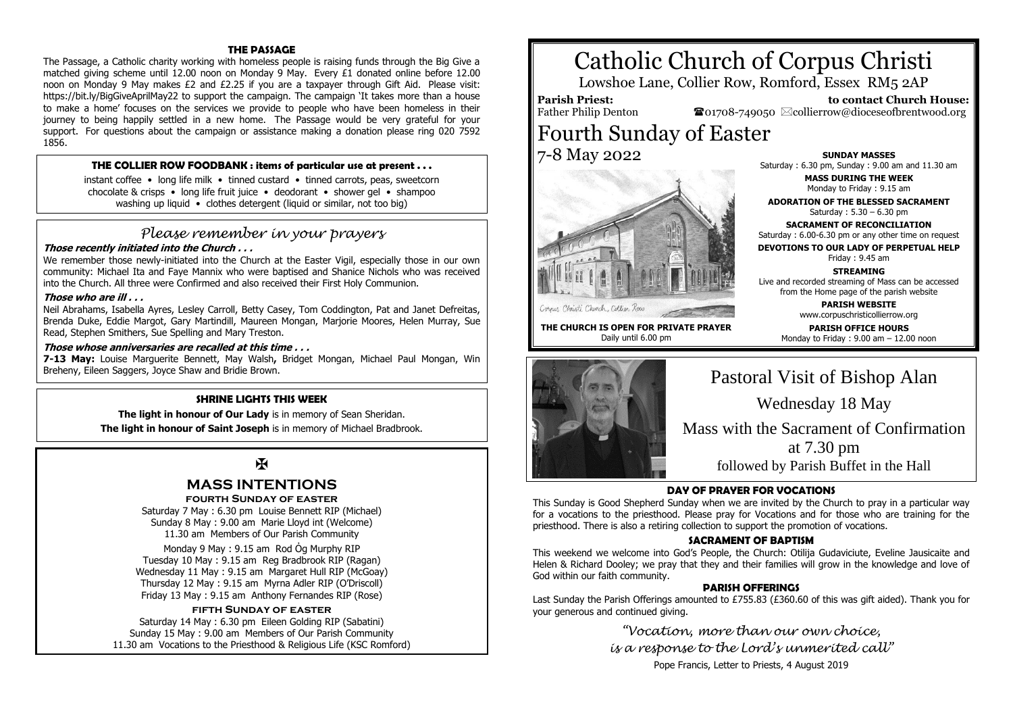### **THE PASSAGE**

The Passage, a Catholic charity working with homeless people is raising funds through the Big Give a matched giving scheme until 12.00 noon on Monday 9 May. Every £1 donated online before 12.00 noon on Monday 9 May makes £2 and £2.25 if you are a taxpayer through Gift Aid. Please visit: https://bit.ly/BigGiveAprilMay22 to support the campaign. The campaign 'It takes more than a house to make a home' focuses on the services we provide to people who have been homeless in their journey to being happily settled in a new home. The Passage would be very grateful for your support. For questions about the campaign or assistance making a donation please ring 020 7592 1856.

#### **THE COLLIER ROW FOODBANK : items of particular use at present . . .**

instant coffee • long life milk • tinned custard • tinned carrots, peas, sweetcorn chocolate & crisps • long life fruit juice • deodorant • shower gel • shampoo washing up liquid • clothes detergent (liquid or similar, not too big)

# *Please remember in your prayers*

# **Those recently initiated into the Church . . .**

We remember those newly-initiated into the Church at the Easter Vigil, especially those in our own community: Michael Ita and Faye Mannix who were baptised and Shanice Nichols who was received into the Church. All three were Confirmed and also received their First Holy Communion.

#### **Those who are ill . . .**

Neil Abrahams, Isabella Ayres, Lesley Carroll, Betty Casey, Tom Coddington, Pat and Janet Defreitas, Brenda Duke, Eddie Margot, Gary Martindill, Maureen Mongan, Marjorie Moores, Helen Murray, Sue Read, Stephen Smithers, Sue Spelling and Mary Treston.

#### **Those whose anniversaries are recalled at this time . . .**

**7-13 May:** Louise Marguerite Bennett, May Walsh**,** Bridget Mongan, Michael Paul Mongan, Win Breheny, Eileen Saggers, Joyce Shaw and Bridie Brown.

# **SHRINE LIGHTS THIS WEEK**

**The light in honour of Our Lady** is in memory of Sean Sheridan.

**The light in honour of Saint Joseph** is in memory of Michael Bradbrook.

# $\mathbf F$

# **MASS INTENTIONS**

**fourth Sunday of easter**

Saturday 7 May : 6.30 pm Louise Bennett RIP (Michael) Sunday 8 May : 9.00 am Marie Lloyd int (Welcome) 11.30 am Members of Our Parish Community

Monday 9 May : 9.15 am Rod Ỏg Murphy RIP Tuesday 10 May : 9.15 am Reg Bradbrook RIP (Ragan) Wednesday 11 May : 9.15 am Margaret Hull RIP (McGoay) Thursday 12 May : 9.15 am Myrna Adler RIP (O'Driscoll) Friday 13 May : 9.15 am Anthony Fernandes RIP (Rose)

# **fifth Sunday of easter**

Saturday 14 May : 6.30 pm Eileen Golding RIP (Sabatini) Sunday 15 May : 9.00 am Members of Our Parish Community 11.30 am Vocations to the Priesthood & Religious Life (KSC Romford)

# Catholic Church of Corpus Christi

Lowshoe Lane, Collier Row, Romford, Essex RM5 2AP

# **Parish Priest:**

Father Philip Denton

 **to contact Church House:**  $\bullet$ 01708-749050  $\boxtimes$ collierrow@dioceseofbrentwood.org

Fourth Sunday of Easter 7-8 May 2022



Cornus Christi Church, Collier Row

**THE CHURCH IS OPEN FOR PRIVATE PRAYER** Daily until 6.00 pm

**SUNDAY MASSES** Saturday : 6.30 pm, Sunday : 9.00 am and 11.30 am

> **MASS DURING THE WEEK** Monday to Friday : 9.15 am

**ADORATION OF THE BLESSED SACRAMENT** Saturday : 5.30 – 6.30 pm

**SACRAMENT OF RECONCILIATION** Saturday : 6.00-6.30 pm or any other time on request

**DEVOTIONS TO OUR LADY OF PERPETUAL HELP**

Friday : 9.45 am

**STREAMING** Live and recorded streaming of Mass can be accessed from the Home page of the parish website

> **PARISH WEBSITE** www.corpuschristicollierrow.org

**PARISH OFFICE HOURS** Monday to Friday : 9.00 am – 12.00 noon



Pastoral Visit of Bishop Alan Wednesday 18 May Mass with the Sacrament of Confirmation at 7.30 pm

followed by Parish Buffet in the Hall

# **DAY OF PRAYER FOR VOCATIONS**

This Sunday is Good Shepherd Sunday when we are invited by the Church to pray in a particular way for a vocations to the priesthood. Please pray for Vocations and for those who are training for the priesthood. There is also a retiring collection to support the promotion of vocations.

# **SACRAMENT OF BAPTISM**

This weekend we welcome into God's People, the Church: Otilija Gudaviciute, Eveline Jausicaite and Helen & Richard Dooley; we pray that they and their families will grow in the knowledge and love of God within our faith community.

# **PARISH OFFERINGS**

Last Sunday the Parish Offerings amounted to £755.83 (£360.60 of this was gift aided). Thank you for your generous and continued giving.

> *"Vocation, more than our own choice, is a response to the Lord's unmerited call"* Pope Francis, Letter to Priests, 4 August 2019